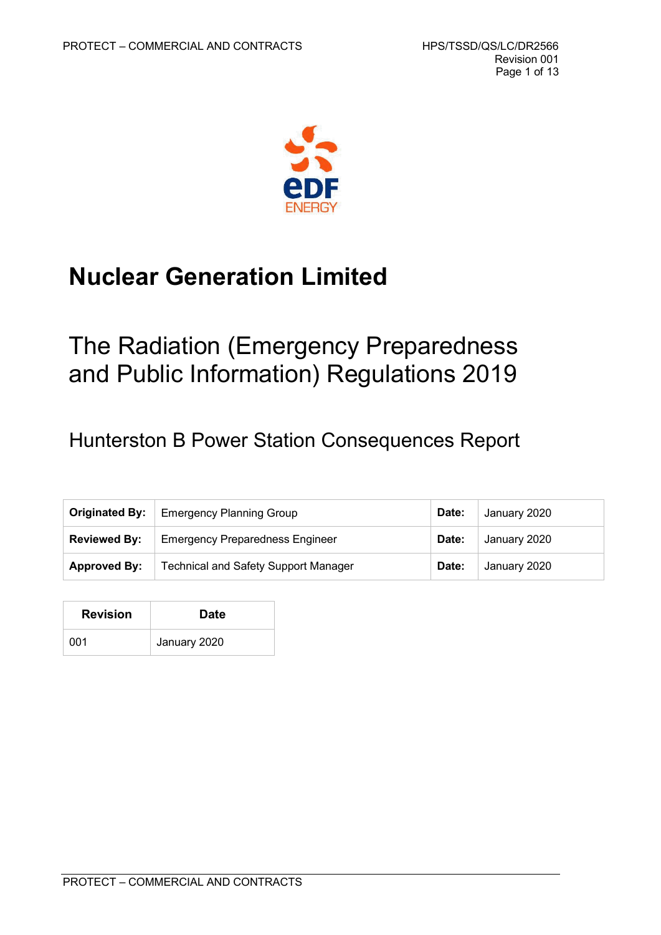

# **Nuclear Generation Limited**

# The Radiation (Emergency Preparedness and Public Information) Regulations 2019

# Hunterston B Power Station Consequences Report

|                     | <b>Originated By:</b>   Emergency Planning Group | Date: | January 2020 |
|---------------------|--------------------------------------------------|-------|--------------|
| <b>Reviewed By:</b> | <b>Emergency Preparedness Engineer</b>           | Date: | January 2020 |
| <b>Approved By:</b> | <b>Technical and Safety Support Manager</b>      | Date: | January 2020 |

| <b>Revision</b> | <b>Date</b>  |
|-----------------|--------------|
| 001             | January 2020 |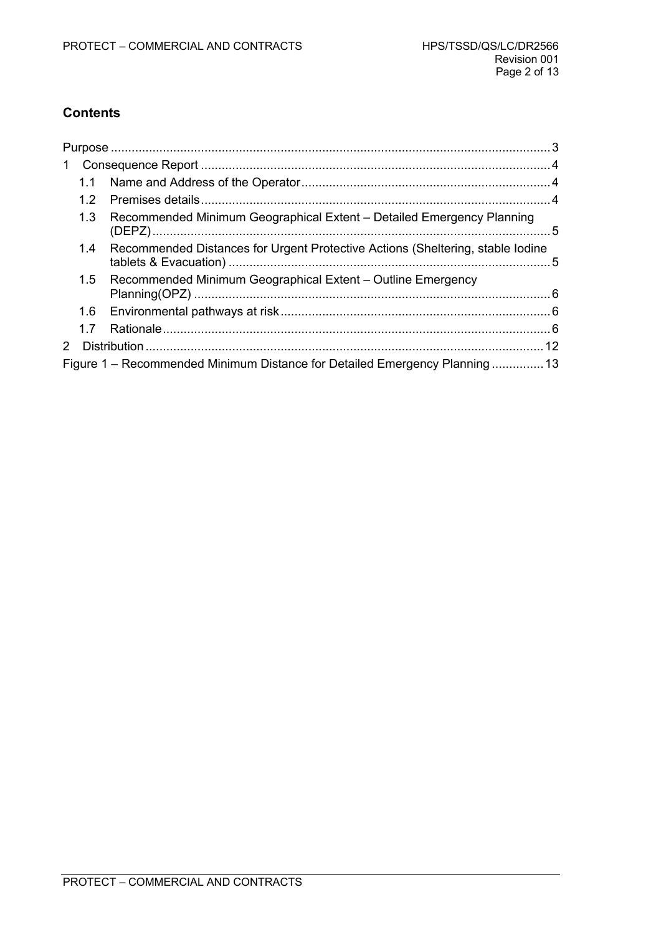### **Contents**

| 1  |     |                                                                                |  |
|----|-----|--------------------------------------------------------------------------------|--|
|    | 1.1 |                                                                                |  |
|    | 1.2 |                                                                                |  |
|    | 1.3 | Recommended Minimum Geographical Extent - Detailed Emergency Planning          |  |
|    | 1.4 | Recommended Distances for Urgent Protective Actions (Sheltering, stable lodine |  |
|    | 1.5 | Recommended Minimum Geographical Extent - Outline Emergency                    |  |
|    |     |                                                                                |  |
|    | 1.7 |                                                                                |  |
| 2. |     |                                                                                |  |
|    |     | Figure 1 – Recommended Minimum Distance for Detailed Emergency Planning 13     |  |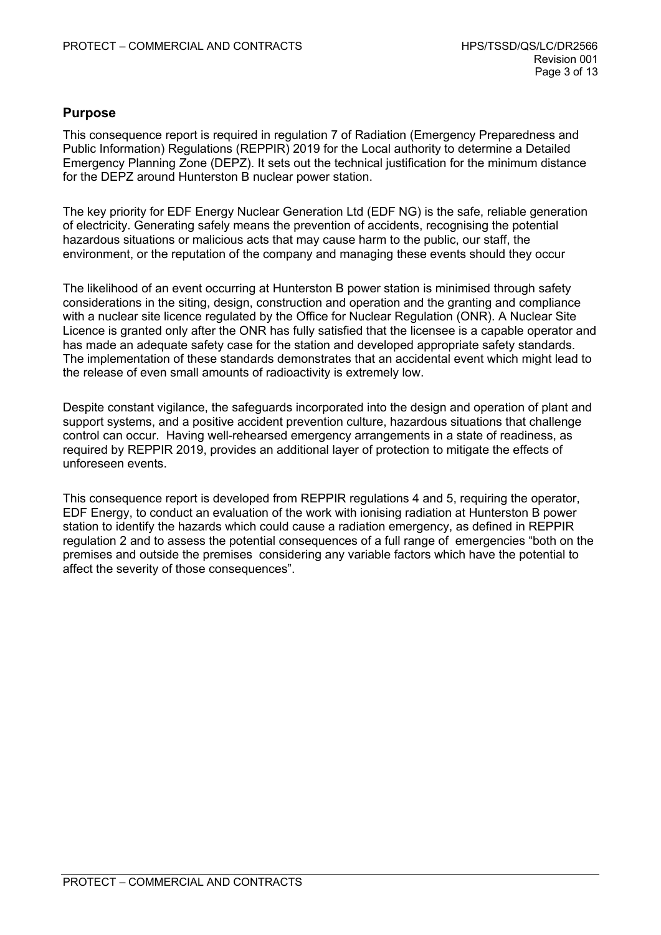#### <span id="page-2-0"></span>**Purpose**

This consequence report is required in regulation 7 of Radiation (Emergency Preparedness and Public Information) Regulations (REPPIR) 2019 for the Local authority to determine a Detailed Emergency Planning Zone (DEPZ). It sets out the technical justification for the minimum distance for the DEPZ around Hunterston B nuclear power station.

The key priority for EDF Energy Nuclear Generation Ltd (EDF NG) is the safe, reliable generation of electricity. Generating safely means the prevention of accidents, recognising the potential hazardous situations or malicious acts that may cause harm to the public, our staff, the environment, or the reputation of the company and managing these events should they occur

The likelihood of an event occurring at Hunterston B power station is minimised through safety considerations in the siting, design, construction and operation and the granting and compliance with a nuclear site licence regulated by the Office for Nuclear Regulation (ONR). A Nuclear Site Licence is granted only after the ONR has fully satisfied that the licensee is a capable operator and has made an adequate safety case for the station and developed appropriate safety standards. The implementation of these standards demonstrates that an accidental event which might lead to the release of even small amounts of radioactivity is extremely low.

Despite constant vigilance, the safeguards incorporated into the design and operation of plant and support systems, and a positive accident prevention culture, hazardous situations that challenge control can occur. Having well-rehearsed emergency arrangements in a state of readiness, as required by REPPIR 2019, provides an additional layer of protection to mitigate the effects of unforeseen events.

This consequence report is developed from REPPIR regulations 4 and 5, requiring the operator, EDF Energy, to conduct an evaluation of the work with ionising radiation at Hunterston B power station to identify the hazards which could cause a radiation emergency, as defined in REPPIR regulation 2 and to assess the potential consequences of a full range of emergencies "both on the premises and outside the premises considering any variable factors which have the potential to affect the severity of those consequences".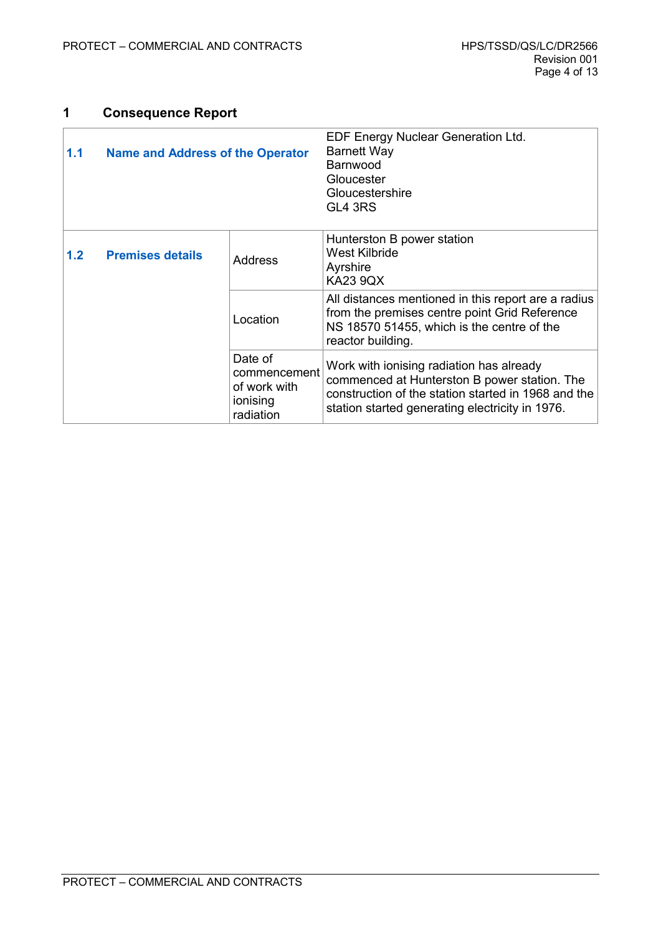## <span id="page-3-2"></span>**1 Consequence Report**

<span id="page-3-1"></span><span id="page-3-0"></span>

| <b>Name and Address of the Operator</b><br>1.1 |                         |                                                                  | EDF Energy Nuclear Generation Ltd.<br><b>Barnett Way</b><br><b>Barnwood</b><br>Gloucester<br>Gloucestershire<br>GL4 3RS                                                                            |  |
|------------------------------------------------|-------------------------|------------------------------------------------------------------|----------------------------------------------------------------------------------------------------------------------------------------------------------------------------------------------------|--|
| 1.2 <sub>1</sub>                               | <b>Premises details</b> | <b>Address</b>                                                   | Hunterston B power station<br><b>West Kilbride</b><br>Ayrshire<br><b>KA23 9QX</b>                                                                                                                  |  |
|                                                |                         | Location                                                         | All distances mentioned in this report are a radius<br>from the premises centre point Grid Reference<br>NS 18570 51455, which is the centre of the<br>reactor building.                            |  |
|                                                |                         | Date of<br>commencement<br>of work with<br>ionising<br>radiation | Work with ionising radiation has already<br>commenced at Hunterston B power station. The<br>construction of the station started in 1968 and the<br>station started generating electricity in 1976. |  |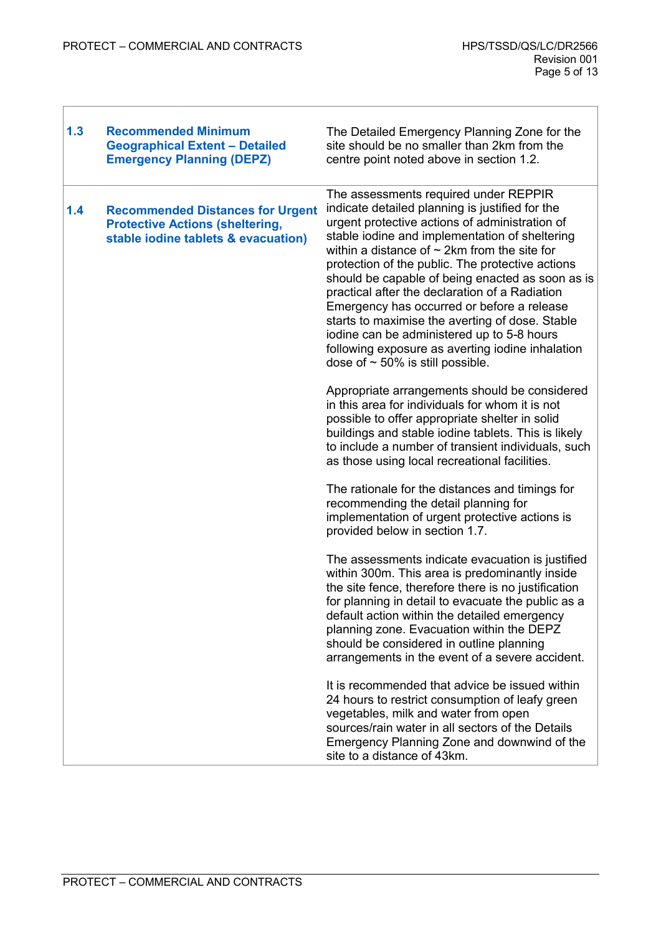Ī

<span id="page-4-1"></span><span id="page-4-0"></span>

| 1.3 | <b>Recommended Minimum</b><br><b>Geographical Extent - Detailed</b><br><b>Emergency Planning (DEPZ)</b>                  | The Detailed Emergency Planning Zone for the<br>site should be no smaller than 2km from the<br>centre point noted above in section 1.2.                                                                                                                                                                                                                                                                                                                                                                                                                                                                                                                 |
|-----|--------------------------------------------------------------------------------------------------------------------------|---------------------------------------------------------------------------------------------------------------------------------------------------------------------------------------------------------------------------------------------------------------------------------------------------------------------------------------------------------------------------------------------------------------------------------------------------------------------------------------------------------------------------------------------------------------------------------------------------------------------------------------------------------|
| 1.4 | <b>Recommended Distances for Urgent</b><br><b>Protective Actions (sheltering,</b><br>stable iodine tablets & evacuation) | The assessments required under REPPIR<br>indicate detailed planning is justified for the<br>urgent protective actions of administration of<br>stable iodine and implementation of sheltering<br>within a distance of $\sim$ 2km from the site for<br>protection of the public. The protective actions<br>should be capable of being enacted as soon as is<br>practical after the declaration of a Radiation<br>Emergency has occurred or before a release<br>starts to maximise the averting of dose. Stable<br>iodine can be administered up to 5-8 hours<br>following exposure as averting iodine inhalation<br>dose of $\sim$ 50% is still possible. |
|     |                                                                                                                          | Appropriate arrangements should be considered<br>in this area for individuals for whom it is not<br>possible to offer appropriate shelter in solid<br>buildings and stable iodine tablets. This is likely<br>to include a number of transient individuals, such<br>as those using local recreational facilities.                                                                                                                                                                                                                                                                                                                                        |
|     |                                                                                                                          | The rationale for the distances and timings for<br>recommending the detail planning for<br>implementation of urgent protective actions is<br>provided below in section 1.7.                                                                                                                                                                                                                                                                                                                                                                                                                                                                             |
|     |                                                                                                                          | The assessments indicate evacuation is justified<br>within 300m. This area is predominantly inside<br>the site fence, therefore there is no justification<br>for planning in detail to evacuate the public as a<br>default action within the detailed emergency<br>planning zone. Evacuation within the DEPZ<br>should be considered in outline planning<br>arrangements in the event of a severe accident.                                                                                                                                                                                                                                             |
|     |                                                                                                                          | It is recommended that advice be issued within<br>24 hours to restrict consumption of leafy green<br>vegetables, milk and water from open<br>sources/rain water in all sectors of the Details<br>Emergency Planning Zone and downwind of the<br>site to a distance of 43km.                                                                                                                                                                                                                                                                                                                                                                             |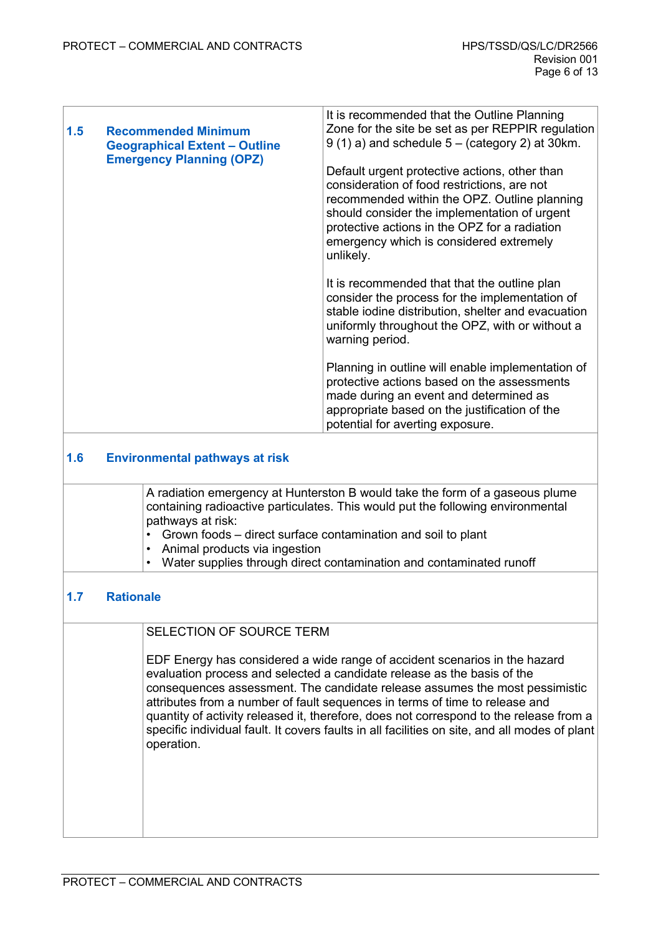<span id="page-5-2"></span>

| 1.5 | <b>Recommended Minimum</b><br><b>Geographical Extent - Outline</b><br><b>Emergency Planning (OPZ)</b> | It is recommended that the Outline Planning<br>Zone for the site be set as per REPPIR regulation<br>$9(1)$ a) and schedule $5 -$ (category 2) at 30 km.                                                                                                                                               |
|-----|-------------------------------------------------------------------------------------------------------|-------------------------------------------------------------------------------------------------------------------------------------------------------------------------------------------------------------------------------------------------------------------------------------------------------|
|     |                                                                                                       | Default urgent protective actions, other than<br>consideration of food restrictions, are not<br>recommended within the OPZ. Outline planning<br>should consider the implementation of urgent<br>protective actions in the OPZ for a radiation<br>emergency which is considered extremely<br>unlikely. |
|     |                                                                                                       | It is recommended that that the outline plan<br>consider the process for the implementation of<br>stable iodine distribution, shelter and evacuation<br>uniformly throughout the OPZ, with or without a<br>warning period.                                                                            |
|     |                                                                                                       | Planning in outline will enable implementation of<br>protective actions based on the assessments<br>made during an event and determined as<br>appropriate based on the justification of the<br>potential for averting exposure.                                                                       |

### <span id="page-5-1"></span>**1.6 Environmental pathways at risk**

| A radiation emergency at Hunterston B would take the form of a gaseous plume    |
|---------------------------------------------------------------------------------|
| containing radioactive particulates. This would put the following environmental |
| pathways at risk:                                                               |
| $\cdot$ Grown foods – direct surface contamination and soil to plant            |

- $\mathfrak s$ rown foods direct surface contamination and soil to plant
- Animal products via ingestion
- Water supplies through direct contamination and contaminated runoff

#### <span id="page-5-0"></span>**1.7 Rationale**

| <b>SELECTION OF SOURCE TERM</b> |
|---------------------------------|
|                                 |

EDF Energy has considered a wide range of accident scenarios in the hazard evaluation process and selected a candidate release as the basis of the consequences assessment. The candidate release assumes the most pessimistic attributes from a number of fault sequences in terms of time to release and quantity of activity released it, therefore, does not correspond to the release from a specific individual fault. It covers faults in all facilities on site, and all modes of plant operation.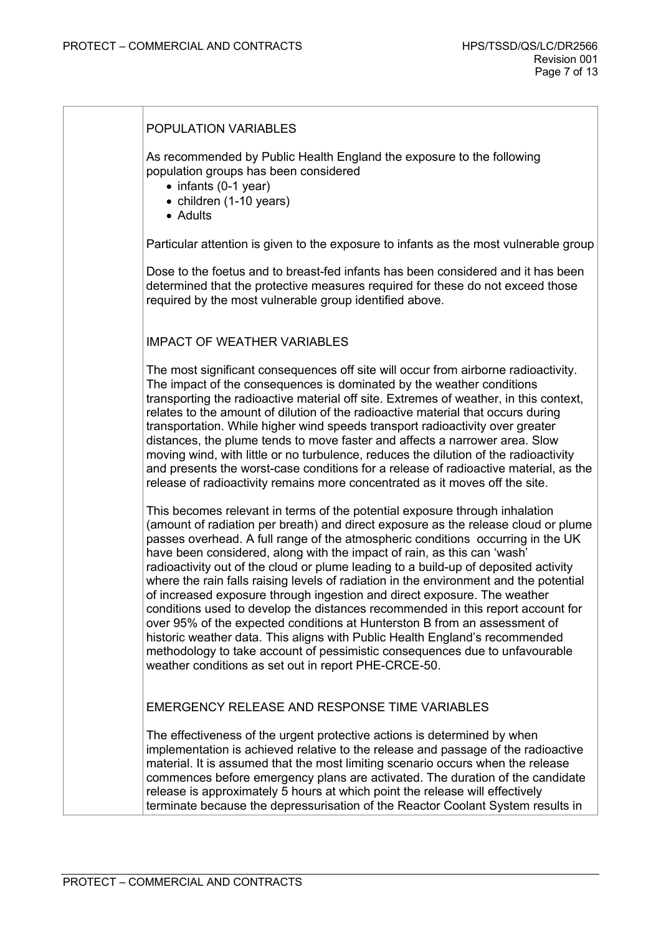| POPULATION VARIABLES                                                                                                                                                                                                                                                                                                                                                                                                                                                                                                                                                                                                                                                                                                                                                                                                                                                                                                                                                              |
|-----------------------------------------------------------------------------------------------------------------------------------------------------------------------------------------------------------------------------------------------------------------------------------------------------------------------------------------------------------------------------------------------------------------------------------------------------------------------------------------------------------------------------------------------------------------------------------------------------------------------------------------------------------------------------------------------------------------------------------------------------------------------------------------------------------------------------------------------------------------------------------------------------------------------------------------------------------------------------------|
| As recommended by Public Health England the exposure to the following<br>population groups has been considered<br>• infants (0-1 year)<br>• children (1-10 years)<br>• Adults                                                                                                                                                                                                                                                                                                                                                                                                                                                                                                                                                                                                                                                                                                                                                                                                     |
| Particular attention is given to the exposure to infants as the most vulnerable group                                                                                                                                                                                                                                                                                                                                                                                                                                                                                                                                                                                                                                                                                                                                                                                                                                                                                             |
| Dose to the foetus and to breast-fed infants has been considered and it has been<br>determined that the protective measures required for these do not exceed those<br>required by the most vulnerable group identified above.                                                                                                                                                                                                                                                                                                                                                                                                                                                                                                                                                                                                                                                                                                                                                     |
| <b>IMPACT OF WEATHER VARIABLES</b>                                                                                                                                                                                                                                                                                                                                                                                                                                                                                                                                                                                                                                                                                                                                                                                                                                                                                                                                                |
| The most significant consequences off site will occur from airborne radioactivity.<br>The impact of the consequences is dominated by the weather conditions<br>transporting the radioactive material off site. Extremes of weather, in this context,<br>relates to the amount of dilution of the radioactive material that occurs during<br>transportation. While higher wind speeds transport radioactivity over greater<br>distances, the plume tends to move faster and affects a narrower area. Slow<br>moving wind, with little or no turbulence, reduces the dilution of the radioactivity<br>and presents the worst-case conditions for a release of radioactive material, as the<br>release of radioactivity remains more concentrated as it moves off the site.                                                                                                                                                                                                          |
| This becomes relevant in terms of the potential exposure through inhalation<br>(amount of radiation per breath) and direct exposure as the release cloud or plume<br>passes overhead. A full range of the atmospheric conditions occurring in the UK<br>have been considered, along with the impact of rain, as this can 'wash'<br>radioactivity out of the cloud or plume leading to a build-up of deposited activity<br>where the rain falls raising levels of radiation in the environment and the potential<br>of increased exposure through ingestion and direct exposure. The weather<br>conditions used to develop the distances recommended in this report account for<br>over 95% of the expected conditions at Hunterston B from an assessment of<br>historic weather data. This aligns with Public Health England's recommended<br>methodology to take account of pessimistic consequences due to unfavourable<br>weather conditions as set out in report PHE-CRCE-50. |
| EMERGENCY RELEASE AND RESPONSE TIME VARIABLES                                                                                                                                                                                                                                                                                                                                                                                                                                                                                                                                                                                                                                                                                                                                                                                                                                                                                                                                     |
| The effectiveness of the urgent protective actions is determined by when<br>implementation is achieved relative to the release and passage of the radioactive<br>material. It is assumed that the most limiting scenario occurs when the release<br>commences before emergency plans are activated. The duration of the candidate<br>release is approximately 5 hours at which point the release will effectively<br>terminate because the depressurisation of the Reactor Coolant System results in                                                                                                                                                                                                                                                                                                                                                                                                                                                                              |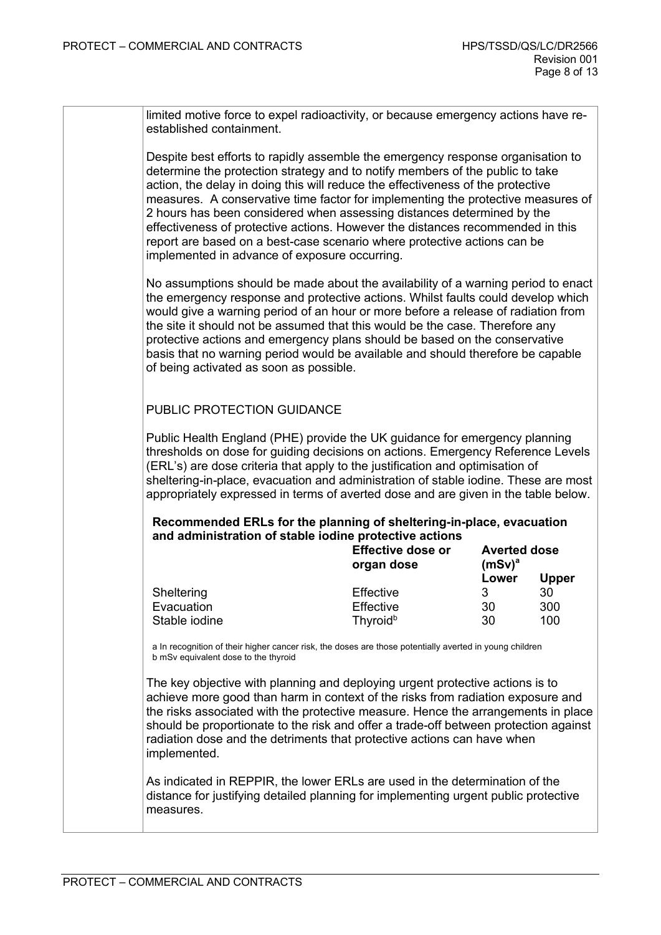| limited motive force to expel radioactivity, or because emergency actions have re- |
|------------------------------------------------------------------------------------|
| established containment.                                                           |

Despite best efforts to rapidly assemble the emergency response organisation to determine the protection strategy and to notify members of the public to take action, the delay in doing this will reduce the effectiveness of the protective measures. A conservative time factor for implementing the protective measures of 2 hours has been considered when assessing distances determined by the effectiveness of protective actions. However the distances recommended in this report are based on a best-case scenario where protective actions can be implemented in advance of exposure occurring.

No assumptions should be made about the availability of a warning period to enact the emergency response and protective actions. Whilst faults could develop which would give a warning period of an hour or more before a release of radiation from the site it should not be assumed that this would be the case. Therefore any protective actions and emergency plans should be based on the conservative basis that no warning period would be available and should therefore be capable of being activated as soon as possible.

#### PUBLIC PROTECTION GUIDANCE

Public Health England (PHE) provide the UK guidance for emergency planning thresholds on dose for guiding decisions on actions. Emergency Reference Levels (ERL's) are dose criteria that apply to the justification and optimisation of sheltering-in-place, evacuation and administration of stable iodine. These are most appropriately expressed in terms of averted dose and are given in the table below.

#### **Recommended ERLs for the planning of sheltering-in-place, evacuation and administration of stable iodine protective actions**

|               | <b>Effective dose or</b><br>organ dose | <b>Averted dose</b><br>$(mSv)^a$ |              |
|---------------|----------------------------------------|----------------------------------|--------------|
|               |                                        | Lower                            | <b>Upper</b> |
| Sheltering    | Effective                              | 3                                | 30           |
| Evacuation    | Effective                              | 30                               | 300          |
| Stable iodine | Thyroid <sup>b</sup>                   | 30                               | 100          |

a In recognition of their higher cancer risk, the doses are those potentially averted in young children b mSv equivalent dose to the thyroid

The key objective with planning and deploying urgent protective actions is to achieve more good than harm in context of the risks from radiation exposure and the risks associated with the protective measure. Hence the arrangements in place should be proportionate to the risk and offer a trade-off between protection against radiation dose and the detriments that protective actions can have when implemented.

As indicated in REPPIR, the lower ERLs are used in the determination of the distance for justifying detailed planning for implementing urgent public protective measures.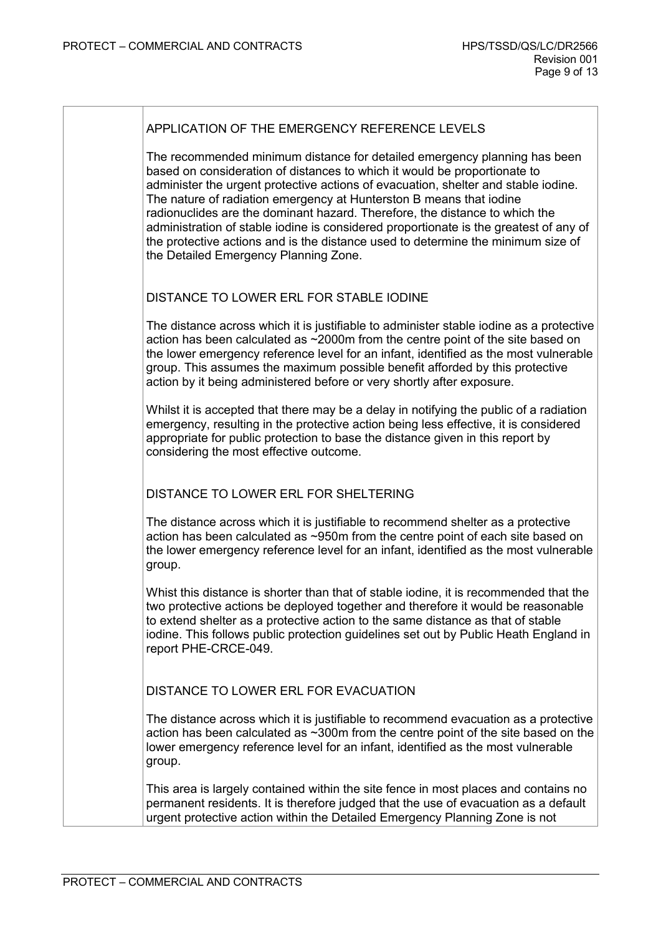The recommended minimum distance for detailed emergency planning has been based on consideration of distances to which it would be proportionate to administer the urgent protective actions of evacuation, shelter and stable iodine. The nature of radiation emergency at Hunterston B means that iodine radionuclides are the dominant hazard. Therefore, the distance to which the administration of stable iodine is considered proportionate is the greatest of any of the protective actions and is the distance used to determine the minimum size of the Detailed Emergency Planning Zone.

#### DISTANCE TO LOWER ERL FOR STABLE IODINE

The distance across which it is justifiable to administer stable iodine as a protective action has been calculated as ~2000m from the centre point of the site based on the lower emergency reference level for an infant, identified as the most vulnerable group. This assumes the maximum possible benefit afforded by this protective action by it being administered before or very shortly after exposure.

Whilst it is accepted that there may be a delay in notifying the public of a radiation emergency, resulting in the protective action being less effective, it is considered appropriate for public protection to base the distance given in this report by considering the most effective outcome.

#### DISTANCE TO LOWER ERL FOR SHELTERING

The distance across which it is justifiable to recommend shelter as a protective action has been calculated as ~950m from the centre point of each site based on the lower emergency reference level for an infant, identified as the most vulnerable group.

Whist this distance is shorter than that of stable iodine, it is recommended that the two protective actions be deployed together and therefore it would be reasonable to extend shelter as a protective action to the same distance as that of stable iodine. This follows public protection guidelines set out by Public Heath England in report PHE-CRCE-049.

DISTANCE TO LOWER ERL FOR EVACUATION

The distance across which it is justifiable to recommend evacuation as a protective action has been calculated as ~300m from the centre point of the site based on the lower emergency reference level for an infant, identified as the most vulnerable group.

This area is largely contained within the site fence in most places and contains no permanent residents. It is therefore judged that the use of evacuation as a default urgent protective action within the Detailed Emergency Planning Zone is not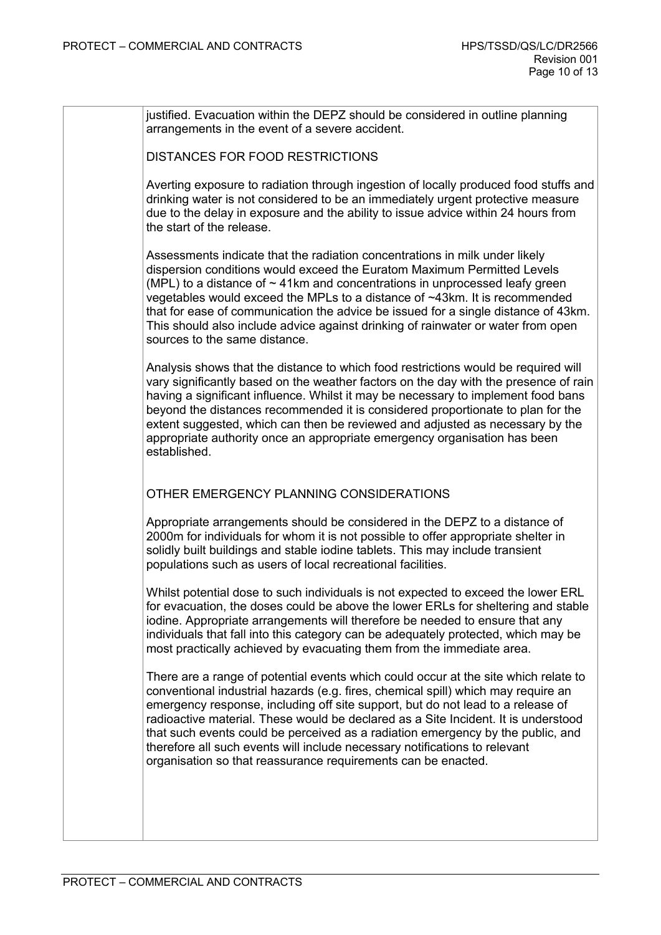| justified. Evacuation within the DEPZ should be considered in outline planning<br>arrangements in the event of a severe accident.                                                                                                                                                                                                                                                                                                                                                                                                                                                   |
|-------------------------------------------------------------------------------------------------------------------------------------------------------------------------------------------------------------------------------------------------------------------------------------------------------------------------------------------------------------------------------------------------------------------------------------------------------------------------------------------------------------------------------------------------------------------------------------|
| <b>DISTANCES FOR FOOD RESTRICTIONS</b>                                                                                                                                                                                                                                                                                                                                                                                                                                                                                                                                              |
| Averting exposure to radiation through ingestion of locally produced food stuffs and<br>drinking water is not considered to be an immediately urgent protective measure<br>due to the delay in exposure and the ability to issue advice within 24 hours from<br>the start of the release.                                                                                                                                                                                                                                                                                           |
| Assessments indicate that the radiation concentrations in milk under likely<br>dispersion conditions would exceed the Euratom Maximum Permitted Levels<br>(MPL) to a distance of $\sim$ 41km and concentrations in unprocessed leafy green<br>vegetables would exceed the MPLs to a distance of ~43km. It is recommended<br>that for ease of communication the advice be issued for a single distance of 43km.<br>This should also include advice against drinking of rainwater or water from open<br>sources to the same distance.                                                 |
| Analysis shows that the distance to which food restrictions would be required will<br>vary significantly based on the weather factors on the day with the presence of rain<br>having a significant influence. Whilst it may be necessary to implement food bans<br>beyond the distances recommended it is considered proportionate to plan for the<br>extent suggested, which can then be reviewed and adjusted as necessary by the<br>appropriate authority once an appropriate emergency organisation has been<br>established.                                                    |
| OTHER EMERGENCY PLANNING CONSIDERATIONS                                                                                                                                                                                                                                                                                                                                                                                                                                                                                                                                             |
| Appropriate arrangements should be considered in the DEPZ to a distance of<br>2000m for individuals for whom it is not possible to offer appropriate shelter in<br>solidly built buildings and stable iodine tablets. This may include transient<br>populations such as users of local recreational facilities.                                                                                                                                                                                                                                                                     |
| Whilst potential dose to such individuals is not expected to exceed the lower ERL<br>for evacuation, the doses could be above the lower ERLs for sheltering and stable<br>iodine. Appropriate arrangements will therefore be needed to ensure that any<br>individuals that fall into this category can be adequately protected, which may be<br>most practically achieved by evacuating them from the immediate area.                                                                                                                                                               |
| There are a range of potential events which could occur at the site which relate to<br>conventional industrial hazards (e.g. fires, chemical spill) which may require an<br>emergency response, including off site support, but do not lead to a release of<br>radioactive material. These would be declared as a Site Incident. It is understood<br>that such events could be perceived as a radiation emergency by the public, and<br>therefore all such events will include necessary notifications to relevant<br>organisation so that reassurance requirements can be enacted. |
|                                                                                                                                                                                                                                                                                                                                                                                                                                                                                                                                                                                     |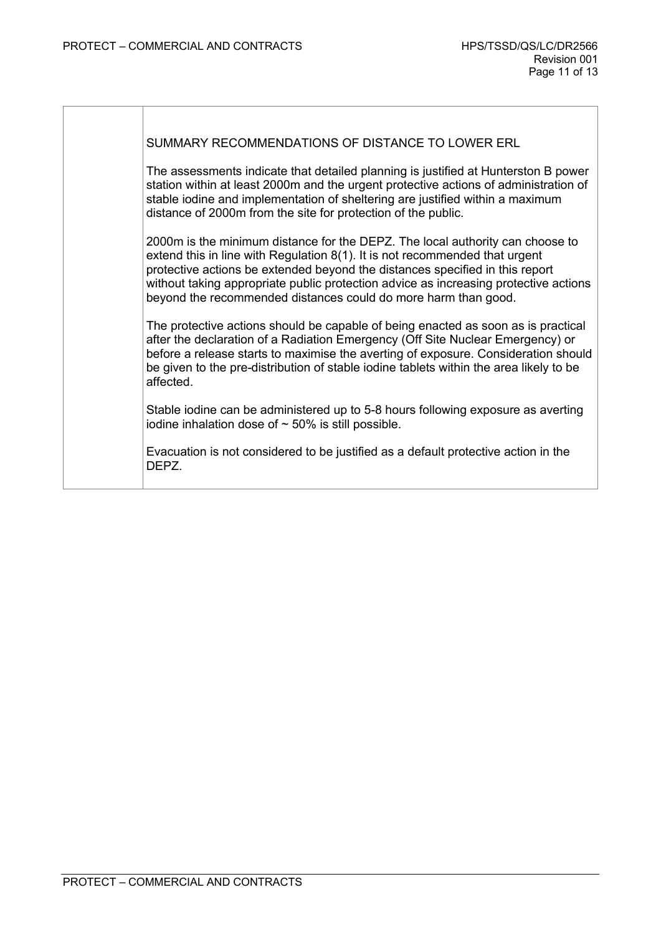SUMMARY RECOMMENDATIONS OF DISTANCE TO LOWER ERL

The assessments indicate that detailed planning is justified at Hunterston B power station within at least 2000m and the urgent protective actions of administration of stable iodine and implementation of sheltering are justified within a maximum distance of 2000m from the site for protection of the public.

2000m is the minimum distance for the DEPZ. The local authority can choose to extend this in line with Regulation 8(1). It is not recommended that urgent protective actions be extended beyond the distances specified in this report without taking appropriate public protection advice as increasing protective actions beyond the recommended distances could do more harm than good.

The protective actions should be capable of being enacted as soon as is practical after the declaration of a Radiation Emergency (Off Site Nuclear Emergency) or before a release starts to maximise the averting of exposure. Consideration should be given to the pre-distribution of stable iodine tablets within the area likely to be affected.

Stable iodine can be administered up to 5-8 hours following exposure as averting iodine inhalation dose of  $\sim$  50% is still possible.

Evacuation is not considered to be justified as a default protective action in the DEPZ.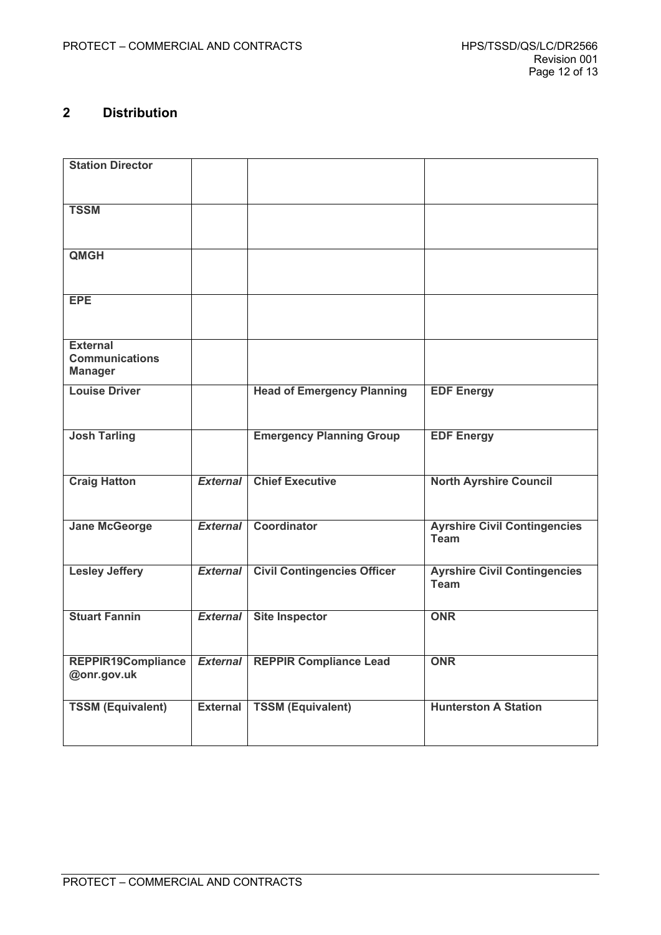# <span id="page-11-0"></span>**2 Distribution**

| <b>Station Director</b>                                    |                 |                                          |                                                    |
|------------------------------------------------------------|-----------------|------------------------------------------|----------------------------------------------------|
| <b>TSSM</b>                                                |                 |                                          |                                                    |
| <b>QMGH</b>                                                |                 |                                          |                                                    |
| <b>EPE</b>                                                 |                 |                                          |                                                    |
| <b>External</b><br><b>Communications</b><br><b>Manager</b> |                 |                                          |                                                    |
| <b>Louise Driver</b>                                       |                 | <b>Head of Emergency Planning</b>        | <b>EDF Energy</b>                                  |
| <b>Josh Tarling</b>                                        |                 | <b>Emergency Planning Group</b>          | <b>EDF Energy</b>                                  |
| <b>Craig Hatton</b>                                        | <b>External</b> | <b>Chief Executive</b>                   | <b>North Ayrshire Council</b>                      |
| <b>Jane McGeorge</b>                                       | <b>External</b> | Coordinator                              | <b>Ayrshire Civil Contingencies</b><br><b>Team</b> |
| <b>Lesley Jeffery</b>                                      | <b>External</b> | <b>Civil Contingencies Officer</b>       | <b>Ayrshire Civil Contingencies</b><br><b>Team</b> |
| <b>Stuart Fannin</b>                                       | <b>External</b> | <b>Site Inspector</b>                    | <b>ONR</b>                                         |
| REPPIR19Compliance<br>@onr.gov.uk                          |                 | <b>External   REPPIR Compliance Lead</b> | <b>ONR</b>                                         |
| <b>TSSM (Equivalent)</b>                                   | <b>External</b> | <b>TSSM (Equivalent)</b>                 | <b>Hunterston A Station</b>                        |